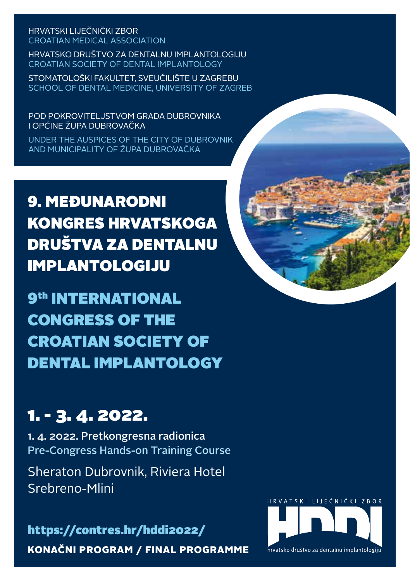HRVATSKI LIJEČNIČKI ZBOR CROATIAN MEDICAL ASSOCIATION

HRVATSKO DRUŠTVO ZA DENTALNU IMPLANTOLOGIJU CROATIAN SOCIETY OF DENTAL IMPLANTOLOGY

STOMATOLOŠKI FAKULTET, SVEUČILIŠTE U ZAGREBU SCHOOL OF DENTAL MEDICINE, UNIVERSITY OF ZAGREB

POD POKROVITELJSTVOM GRADA DUBROVNIKA I OPĆINE ŽUPA DUBROVAČKA

UNDER THE AUSPICES OF THE CITY OF DUBROVNIK AND MUNICIPALITY OF ŽUPA DUBROVAČKA

9. MEĐUNARODNI KONGRES HRVATSKOGA DRUŠTVA ZA DENTALNU IMPLANTOLOGIJU

9th INTERNATIONAL CONGRESS OF THE CROATIAN SOCIETY OF DENTAL IMPLANTOLOGY

# 1. - 3. 4. 2022.

1. 4. 2022. Pretkongresna radionica Pre-Congress Hands-on Training Course

Sheraton Dubrovnik, Riviera Hotel Srebreno-Mlini



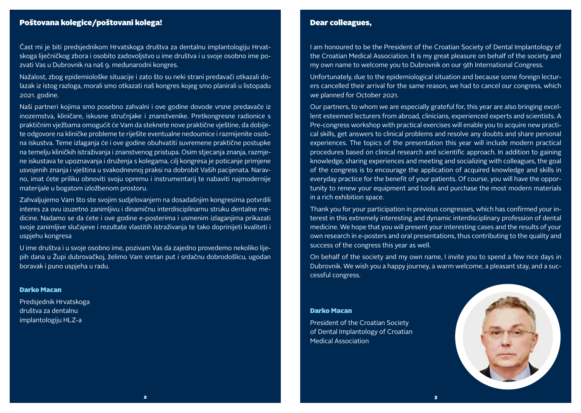## Poštovana kolegice/poštovani kolega!

Čast mi je biti predsjednikom Hrvatskoga društva za dentalnu implantologiju Hrvatskoga liječničkog zbora i osobito zadovoljstvo u ime društva i u svoje osobno ime pozvati Vas u Dubrovnik na naš 9. međunarodni kongres.

Nažalost, zbog epidemiološke situacije i zato što su neki strani predavači otkazali dolazak iz istog razloga, morali smo otkazati naš kongres kojeg smo planirali u listopadu 2021. godine.

Naši partneri kojima smo posebno zahvalni i ove godine dovode vrsne predavače iz inozemstva, kliničare, iskusne stručnjake i znanstvenike. Pretkongresne radionice s praktičnim vježbama omogućit će Vam da steknete nove praktične vještine, da dobijete odgovore na kliničke probleme te riješite eventualne nedoumice i razmijenite osobna iskustva. Teme izlaganja će i ove godine obuhvatiti suvremene praktične postupke na temelju kliničkih istraživanja i znanstvenog pristupa. Osim stjecanja znanja, razmjene iskustava te upoznavanja i druženja s kolegama, cilj kongresa je poticanje primjene usvojenih znanja i vještina u svakodnevnoj praksi na dobrobit Vaših pacijenata. Naravno, imat ćete priliku obnoviti svoju opremu i instrumentarij te nabaviti najmodernije materijale u bogatom izložbenom prostoru.

Zahvaljujemo Vam što ste svojim sudjelovanjem na dosadašnjim kongresima potvrdili interes za ovu izuzetno zanimljivu i dinamičnu interdisciplinarnu struku dentalne medicine. Nadamo se da ćete i ove godine e-posterima i usmenim izlaganjima prikazati svoje zanimljive slučajeve i rezultate vlastitih istraživanja te tako doprinijeti kvaliteti i uspjehu kongresa

U ime društva i u svoje osobno ime, pozivam Vas da zajedno provedemo nekoliko lijepih dana u Župi dubrovačkoj, želimo Vam sretan put i srdačnu dobrodošlicu, ugodan boravak i puno uspjeha u radu.

#### Darko Macan

Predsjednik Hrvatskoga društva za dentalnu implantologiju HLZ-a

## Dear colleagues,

I am honoured to be the President of the Croatian Society of Dental Implantology of the Croatian Medical Association. It is my great pleasure on behalf of the society and my own name to welcome you to Dubrovnik on our 9th International Congress.

Unfortunately, due to the epidemiological situation and because some foreign lecturers cancelled their arrival for the same reason, we had to cancel our congress, which we planned for October 2021.

Our partners, to whom we are especially grateful for, this year are also bringing excellent esteemed lecturers from abroad, clinicians, experienced experts and scientists. A Pre-congress workshop with practical exercises will enable you to acquire new practical skills, get answers to clinical problems and resolve any doubts and share personal experiences. The topics of the presentation this year will include modern practical procedures based on clinical research and scientific approach. In addition to gaining knowledge, sharing experiences and meeting and socializing with colleagues, the goal of the congress is to encourage the application of acquired knowledge and skills in everyday practice for the benefit of your patients. Of course, you will have the opportunity to renew your equipment and tools and purchase the most modern materials in a rich exhibition space.

Thank you for your participation in previous congresses, which has confirmed your interest in this extremely interesting and dynamic interdisciplinary profession of dental medicine. We hope that you will present your interesting cases and the results of your own research in e-posters and oral presentations, thus contributing to the quality and success of the congress this year as well.

On behalf of the society and my own name, I invite you to spend a few nice days in Dubrovnik. We wish you a happy journey, a warm welcome, a pleasant stay, and a successful congress.

#### Darko Macan

President of the Croatian Society of Dental Implantology of Croatian Medical Association

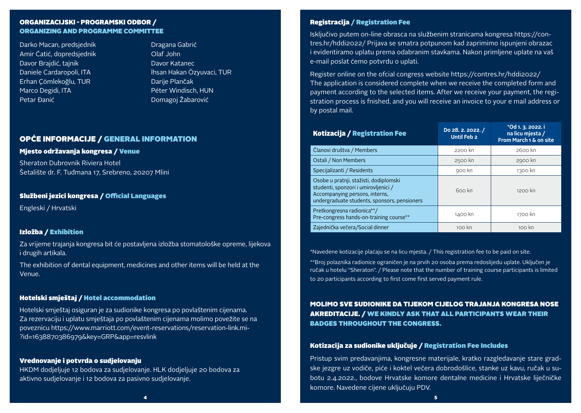## ORGANIZACIJSKI - PROGRAMSKI ODBOR / ORGANIZING AND PROGRAMME COMMITTEE

Darko Macan, predsjednik Amir Ćatić, dopredsjednik Davor Brajdić, tajnik Daniele Cardaropoli, ITA Erhan Çömlekoğlu, TUR Marco Degidi, ITA Petar Đanić

Dragana Gabrić Olaf John Davor Katanec İhsan Hakan Özyuvaci, TUR Darije Plančak Péter Windisch, HUN Domagoj Žabarović

## OPĆE INFORMACIJE / GENERAL INFORMATION

#### Mjesto održavanja kongresa / Venue

Sheraton Dubrovnik Riviera Hotel Šetalište dr. F. Tuđmana 17, Srebreno, 20207 Mlini

## Službeni jezici kongresa / Official Languages

Engleski / Hrvatski

#### Izložba / Exhibition

Za vrijeme trajanja kongresa bit će postavljena izložba stomatološke opreme, lijekova i drugih artikala.

The exhibition of dental equipment, medicines and other items will be held at the Venue.

#### Hotelski smještaj / Hotel accommodation

Hotelski smještaj osiguran je za sudionike kongresa po povlaštenim cijenama. Za rezervaciju i uplatu smještaja po povlaštenim cijenama molimo povežite se na poveznicu https://www.marriott.com/event-reservations/reservation-link.mi- ?id=1638870386979&key=GRP&app=resvlink

#### Vrednovanje i potvrda o sudjelovanju

HKDM dodjeljuje 12 bodova za sudjelovanje. HLK dodjeljuje 20 bodova za aktivno sudjelovanje i 12 bodova za pasivno sudjelovanje.

#### Registracija / Registration Fee

Isključivo putem on-line obrasca na službenim stranicama kongresa https://contres.hr/hddi2022/ Prijava se smatra potpunom kad zaprimimo ispunjeni obrazac i evidentiramo uplatu prema odabranim stavkama. Nakon primljene uplate na vaš e-mail poslat ćemo potvrdu o uplati.

Register online on the ofcial congress website https://contres.hr/hddi2022/ The application is considered complete when we receive the completed form and payment according to the selected items. After we receive your payment, the registration process is fnished, and you will receive an invoice to your e mail address or by postal mail.

| Kotizacija / Registration Fee                                                                                                                                    | Do 28. 2. 2022. /<br><b>Until Feb 2</b> | *Od 1. 3. 2022. i<br>na licu mjesta /<br>From March 1 & on site |
|------------------------------------------------------------------------------------------------------------------------------------------------------------------|-----------------------------------------|-----------------------------------------------------------------|
| Članovi društva / Members                                                                                                                                        | 2200 kn                                 | $2600$ kn                                                       |
| Ostali / Non Members                                                                                                                                             | 2500 kn                                 | 2900 kn                                                         |
| Specijalizanti / Residents                                                                                                                                       | 900 kn                                  | 1300 kn                                                         |
| Osobe u pratnji, stažisti, dodiplomski<br>studenti, sponzori i umirovljenici /<br>Accompanying persons, interns,<br>undergraduate students, sponsors, pensioners | 600 kn                                  | $1200$ kn                                                       |
| Pretkongresna radionica**/<br>Pre-congress hands-on-training course**                                                                                            | 1400 kn                                 | 1700 kn                                                         |
| Zajednička večera/Social dinner                                                                                                                                  | 100 kn                                  | $100$ kn                                                        |

\*Navedene kotizacije plaćaju se na licu mjesta. / This registration fee to be paid on site.

\*\*Broj polaznika radionice ograničen je na prvih 20 osoba prema redoslijedu uplate. Uključen je ručak u hotelu "Sheraton". / Please note that the number of training course participants is limited to 20 participants according to first come first served payment rule.

MOLIMO SVE SUDIONIKE DA TIJEKOM CIJELOG TRAJANJA KONGRESA NOSE AKREDITACIJE. / WE KINDLY ASK THAT ALL PARTICIPANTS WEAR THEIR BADGES THROUGHOUT THE CONGRESS.

#### Kotizacija za sudionike uključuje / Registration Fee Includes

Pristup svim predavanjima, kongresne materijale, kratko razgledavanje stare gradske jezgre uz vodiče, piće i koktel večera dobrodošlice, stanke uz kavu, ručak u subotu 2.4.2022., bodove Hrvatske komore dentalne medicine i Hrvatske liječničke komore. Navedene cijene uključuju PDV.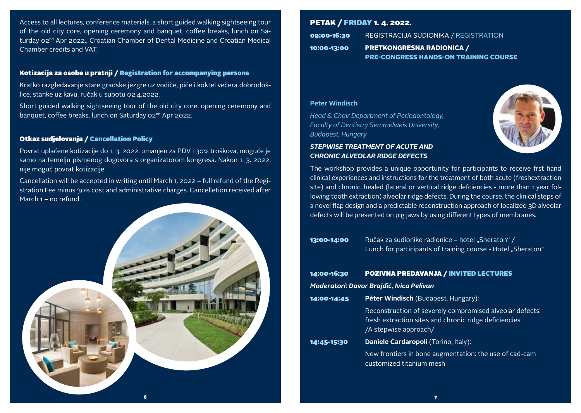Access to all lectures, conference materials, a short guided walking sightseeing tour of the old city core, opening ceremony and banquet, coffee breaks, lunch on Saturday 02<sup>nd</sup> Apr 2022., Croatian Chamber of Dental Medicine and Croatian Medical Chamber credits and VAT.

### Kotizacija za osobe u pratnji / Registration for accompanying persons

Kratko razgledavanje stare gradske jezgre uz vodiče, piće i koktel večera dobrodošlice, stanke uz kavu, ručak u subotu 02.4.2022.

Short guided walking sightseeing tour of the old city core, opening ceremony and banquet, coffee breaks, lunch on Saturday 02nd Apr 2022.

### Otkaz sudjelovanja / Cancellation Policy

Povrat uplaćene kotizacije do 1. 3. 2022. umanjen za PDV i 30% troškova, moguće je samo na temelju pismenog dogovora s organizatorom kongresa. Nakon 1. 3. 2022. nije moguć povrat kotizacije.

Cancellation will be accepted in writing until March 1, 2022 – full refund of the Registration Fee minus 30% cost and administrative charges. Cancelletion received after March 1 – no refund.



# PETAK / FRIDAY 1. 4. 2022.

| 09:00-16:30 | REGISTRACIJA SUDIONIKA / REGISTRATION        |
|-------------|----------------------------------------------|
| 10:00-13:00 | <b>PRETKONGRESNA RADIONICA /</b>             |
|             | <b>PRE-CONGRESS HANDS-ON TRAINING COURSE</b> |

## **Peter Windisch**

*Head & Chair Department of Periodontology, Faculty of Dentistry Semmelweis University, Budapest, Hungary*

## *STEPWISE TREATMENT OF ACUTE AND CHRONIC ALVEOLAR RIDGE DEFECTS*



The workshop provides a unique opportunity for participants to receive frst hand clinical experiences and instructions for the treatment of both acute (freshextraction site) and chronic, healed (lateral or vertical ridge defciencies - more than 1 year following tooth extraction) alveolar ridge defects. During the course, the clinical steps of a novel flap design and a predictable reconstruction approach of localized 3D alveolar defects will be presented on pig jaws by using different types of membranes.

| 13:00-14:00 | Ručak za sudionike radionice – hotel "Sheraton" /            |
|-------------|--------------------------------------------------------------|
|             | Lunch for participants of training course - Hotel "Sheraton" |

# 14:00-16:30 POZIVNA PREDAVANJA / INVITED LECTURES *Moderatori: Davor Brajdić, Ivica Pelivan*

| 14:00-14:45 | <b>Péter Windisch</b> (Budapest, Hungary):                                                                                                 |  |  |  |
|-------------|--------------------------------------------------------------------------------------------------------------------------------------------|--|--|--|
|             | Reconstruction of severely compromised alveolar defects:<br>fresh extraction sites and chronic ridge deficiencies<br>/A stepwise approach/ |  |  |  |
| 14:45-15:30 | <b>Daniele Cardaropoli</b> (Torino, Italy):                                                                                                |  |  |  |
|             | New frontiers in bone augmentation: the use of cad-cam                                                                                     |  |  |  |

customized titanium mesh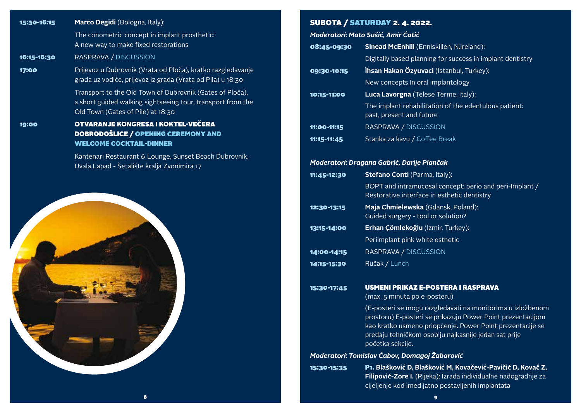| 15:30-16:15 | Marco Degidi (Bologna, Italy):                                                                                                                               | S            |
|-------------|--------------------------------------------------------------------------------------------------------------------------------------------------------------|--------------|
|             | The conometric concept in implant prosthetic:                                                                                                                | M            |
|             | A new way to make fixed restorations                                                                                                                         | $\bullet$    |
| 16:15-16:30 | RASPRAVA / DISCUSSION                                                                                                                                        |              |
| 17:00       | Prijevoz u Dubrovnik (Vrata od Ploča), kratko razgledavanje<br>grada uz vodiče, prijevoz iz grada (Vrata od Pila) u 18:30                                    | $\mathbf{o}$ |
|             | Transport to the Old Town of Dubrovnik (Gates of Ploča),<br>a short guided walking sightseeing tour, transport from the<br>Old Town (Gates of Pile) at 18:30 | <b>10</b>    |
| 19:00       | <b>OTVARANJE KONGRESA I KOKTEL-VEČERA</b><br>DOBRODOŠLICE / OPENING CEREMONY AND                                                                             | 11           |
|             | <b>WELCOME COCKTAIL-DINNER</b>                                                                                                                               | 11           |
|             | Kantenari Restaurant & Lounge, Sunset Beach Dubrovnik,<br>Uvala Lapad - Šetalište kralja Zvonimira 17                                                        | M            |
|             |                                                                                                                                                              | 11           |
|             |                                                                                                                                                              |              |
|             |                                                                                                                                                              | 12           |
|             |                                                                                                                                                              | 13           |
|             |                                                                                                                                                              |              |
|             |                                                                                                                                                              | 14           |
|             |                                                                                                                                                              | 14           |
|             |                                                                                                                                                              | 15           |
|             |                                                                                                                                                              |              |
|             |                                                                                                                                                              |              |
|             |                                                                                                                                                              | M            |
|             |                                                                                                                                                              | 15           |
|             |                                                                                                                                                              |              |

# UBOTA / SATURDAY 2. 4. 2022.

*Moderatori: Mato Sušić, Amir Ćatić*

| 08:45-09:30 | <b>Sinead McEnhill</b> (Enniskillen, N.Ireland):                                                       |
|-------------|--------------------------------------------------------------------------------------------------------|
|             | Digitally based planning for success in implant dentistry                                              |
| 09:30-10:15 | İhsan Hakan Özyuvaci (Istanbul, Turkey):                                                               |
|             | New concepts In oral implantology                                                                      |
| 10:15-11:00 | Luca Lavorgna (Telese Terme, Italy):                                                                   |
|             | The implant rehabilitation of the edentulous patient:<br>past, present and future                      |
| 11:00-11:15 | RASPRAVA / DISCUSSION                                                                                  |
| 11:15-11:45 | Stanka za kavu / Coffee Break                                                                          |
|             | Moderatori: Dragana Gabrić, Darije Plančak                                                             |
| 11:45-12:30 | Stefano Conti (Parma, Italy):                                                                          |
|             | BOPT and intramucosal concept: perio and peri-Implant /<br>Restorative interface in esthetic dentistry |
| 12:30-13:15 | Maja Chmielewska (Gdansk, Poland):<br>Guided surgery - tool or solution?                               |
| 13:15-14:00 | Erhan Çömlekoğlu (Izmir, Turkey):                                                                      |
|             | Periimplant pink white esthetic                                                                        |
| 14:00-14:15 | RASPRAVA / DISCUSSION                                                                                  |
| 14:15-15:30 | Ručak / Lunch                                                                                          |
| 15:30-17:45 | <b>USMENI PRIKAZ E-POSTERA I RASPRAVA</b><br>(max. 5 minuta po e-posteru)                              |
|             | (E-posteri se mogu razgledavati na monitorima u izložbenom                                             |

prostoru) E-posteri se prikazuju Power Point prezentacijom kao kratko usmeno priopćenje. Power Point prezentacije se predaju tehničkom osoblju najkasnije jedan sat prije početka sekcije.

## *Moderatori: Tomislav Ćabov, Domagoj Žabarović*

15:30-15:35 P1. **Blašković D, Blašković M, Kovačević-Pavičić D, Kovač Z, Filipović-Zore I.** (Rijeka): Izrada individualne nadogradnje za cijeljenje kod imedijatno postavljenih implantata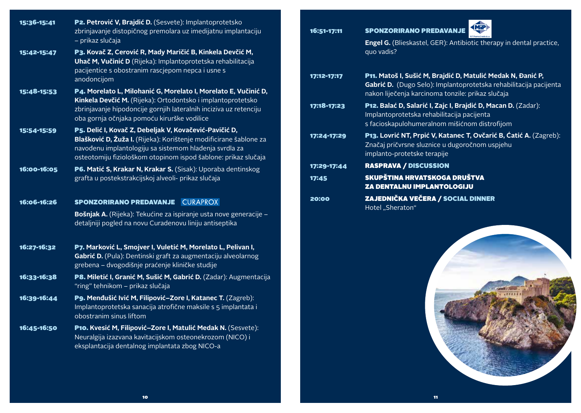| 15:36-15:41 | P2. Petrović V, Brajdić D. (Sesvete): Implantoprotetsko<br>zbrinjavanje distopičnog premolara uz imedijatnu implantaciju<br>- prikaz slučaja                                                                                                            |
|-------------|---------------------------------------------------------------------------------------------------------------------------------------------------------------------------------------------------------------------------------------------------------|
| 15:42-15:47 | P3. Kovač Z, Cerović R, Mady Maričić B, Kinkela Devčić M,<br>Uhač M, Vučinić D (Rijeka): Implantoprotetska rehabilitacija<br>pacijentice s obostranim rascjepom nepca i usne s<br>anodoncijom                                                           |
| 15:48-15:53 | P4. Morelato L, Milohanić G, Morelato I, Morelato E, Vučinić D,<br>Kinkela Devčić M. (Rijeka): Ortodontsko i implantoprotetsko<br>zbrinjavanje hipodoncije gornjih lateralnih inciziva uz retenciju<br>oba gornja očnjaka pomoću kirurške vodilice      |
| 15:54-15:59 | P5. Delić I, Kovač Z, Debeljak V, Kovačević-Pavičić D,<br>Blašković D, Žuža I. (Rijeka): Korištenje modificirane šablone za<br>navođenu implantologiju sa sistemom hlađenja svrdla za<br>osteotomiju fiziološkom otopinom ispod šablone: prikaz slučaja |
| 16:00-16:05 | P6. Matić S, Krakar N, Krakar S. (Sisak): Uporaba dentinskog<br>grafta u postekstrakcijskoj alveoli- prikaz slučaja                                                                                                                                     |
| 16:06-16:26 | <b>SPONZORIRANO PREDAVANJE CURAPROX</b>                                                                                                                                                                                                                 |
|             | Bošnjak A. (Rijeka): Tekućine za ispiranje usta nove generacije -<br>detaljniji pogled na novu Curadenovu liniju antiseptika                                                                                                                            |
| 16:27-16:32 | P7. Marković L, Smojver I, Vuletić M, Morelato L, Pelivan I,<br>Gabrić D. (Pula): Dentinski graft za augmentaciju alveolarnog<br>grebena – dvogodišnje praćenje kliničke studije                                                                        |
| 16:33-16:38 | P8. Miletić I, Granić M, Sušić M, Gabrić D. (Zadar): Augmentacija<br>"ring" tehnikom - prikaz slučaja                                                                                                                                                   |
| 16:39-16:44 | P9. Menđušić Ivić M, Filipović-Zore I, Katanec T. (Zagreb):<br>Implantoprotetska sanacija atrofične maksile s 5 implantata i<br>obostranim sinus liftom                                                                                                 |
| 16:45-16:50 | P10. Kvesić M, Filipović-Zore I, Matulić Medak N. (Sesvete):<br>Neuralgija izazvana kavitacijskom osteonekrozom (NICO) i<br>eksplantacija dentalnog implantata zbog NICO-a                                                                              |

| 16:51-17:11 | (MiP)<br><b>SPONZORIRANO PREDAVANJE</b>                                                                                                                                               |
|-------------|---------------------------------------------------------------------------------------------------------------------------------------------------------------------------------------|
|             | <b>Engel G.</b> (Blieskastel, GER): Antibiotic therapy in dental practice,<br>quo vadis?                                                                                              |
| 17:12-17:17 | P11. Matoš I, Sušić M, Brajdić D, Matulić Medak N, Đanić P,<br>Gabrić D. (Dugo Selo): Implantoprotetska rehabilitacija pacijenta<br>nakon liječenja karcinoma tonzile: prikaz slučaja |
| 17:18-17:23 | P12. Balać D, Salarić I, Zajc I, Brajdić D, Macan D. (Zadar):<br>Implantoprotetska rehabilitacija pacijenta<br>s facioskapulohumeralnom mišićnom distrofijom                          |
| 17:24-17:29 | <b>P13. Lovrić NT, Prpić V, Katanec T, Ovčarić B, Ćatić A.</b> (Zagreb):<br>Značaj pričvrsne sluznice u dugoročnom uspjehu<br>implanto-protetske terapije                             |
| 17:29-17:44 | <b>RASPRAVA / DISCUSSION</b>                                                                                                                                                          |
| 17:45       | SKUPŠTINA HRVATSKOGA DRUŠTVA<br><b>ZA DENTALNU IMPLANTOLOGIJU</b>                                                                                                                     |
| 20:00       | <b>ZAJEDNIČKA VEČERA / SOCIAL DINNER</b><br>Hotel "Sheraton"                                                                                                                          |

KNiP

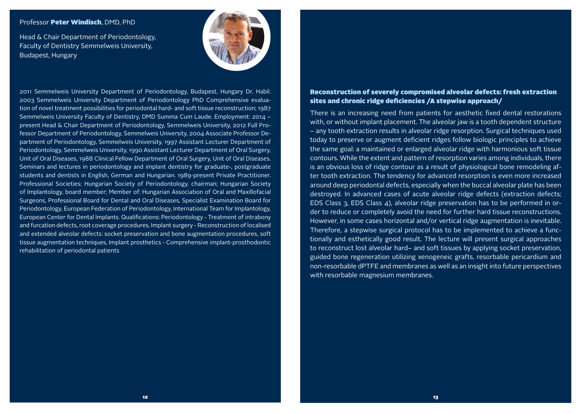#### Professor Peter Windisch, DMD, PhD

Head & Chair Department of Periodontology, Faculty of Dentistry Semmelweis University, Budapest, Hungary



2011 Semmelweis University Department of Periodontology, Budapest, Hungary Dr. Habil. 2003 Semmelweis University Department of Periodontology PhD Comprehensive evaluation of novel treatment possibilities for periodontal hard- and soft tissue reconstruction; 1987 Semmelweis University Faculty of Dentistry, DMD Summa Cum Laude. Employment: 2014 – present Head & Chair Department of Periodontology, Semmelweis University, 2012 Full Professor Department of Periodontology, Semmelweis University, 2004 Associate Professor Department of Periodontology, Semmelweis University, 1997 Assistant Lecturer Department of Periodontology, Semmelweis University, 1990 Assistant Lecturer Department of Oral Surgery, Unit of Oral Diseases, 1988 Clinical Fellow Department of Oral Surgery, Unit of Oral Diseases. Seminars and lectures in periodontology and implant dentistry for graduate-, postgraduate students and dentists in English, German and Hungarian. 1989-present Private Practitioner. Professional Societies: Hungarian Society of Periodontology, chairman; Hungarian Society of Implantology, board member; Member of: Hungarian Association of Oral and Maxillofacial Surgeons, Professional Board for Dental and Oral Diseases, Specialist Examination Board for Periodontology, European Federation of Periodontology, International Team for Implantology, European Center for Dental lmplants. Qualifications: Periodontology - Treatment of intrabony and furcation defects, root coverage procedures, Implant surgery - Reconstruction of localised and extended alveolar defects: socket preservation and bone augmentation procedures, soft tissue augmentation techniques, Implant prosthetics - Comprehensive implant-prosthodontic rehabilitation of periodontal patients

## Reconstruction of severely compromised alveolar defects: fresh extraction sites and chronic ridge deficiencies /A stepwise approach/

There is an increasing need from patients for aesthetic fixed dental restorations with, or without implant placement. The alveolar jaw is a tooth dependent structure – any tooth extraction results in alveolar ridge resorption. Surgical techniques used today to preserve or augment deficient ridges follow biologic principles to achieve the same goal: a maintained or enlarged alveolar ridge with harmonious soft tissue contours. While the extent and pattern of resorption varies among individuals, there is an obvious loss of ridge contour as a result of physiological bone remodeling after tooth extraction. The tendency for advanced resorption is even more increased around deep periodontal defects, especially when the buccal alveolar plate has been destroyed. In advanced cases of acute alveolar ridge defects (extraction defects; EDS Class 3, EDS Class  $\Delta$ ), alveolar ridge preservation has to be performed in order to reduce or completely avoid the need for further hard tissue reconstructions. However, in some cases horizontal and/or vertical ridge augmentation is inevitable. Therefore, a stepwise surgical protocol has to be implemented to achieve a functionally and esthetically good result. The lecture will present surgical approaches to reconstruct lost alveolar hard– and soft tissues by applying socket preservation, guided bone regeneration utilizing xenogeneic grafts, resorbable pericardium and non-resorbable dPTFE and membranes as well as an insight into future perspectives with resorbable magnesium membranes.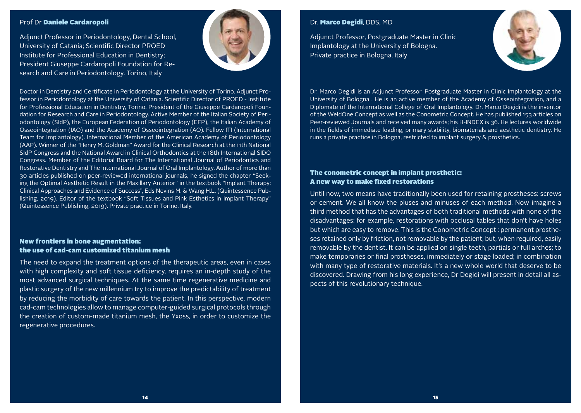#### Prof Dr Daniele Cardaropoli

Adjunct Professor in Periodontology, Dental School, University of Catania; Scientific Director PROED Institute for Professional Education in Dentistry; President Giuseppe Cardaropoli Foundation for Research and Care in Periodontology. Torino, Italy



Doctor in Dentistry and Certificate in Periodontology at the University of Torino. Adjunct Professor in Periodontology at the University of Catania. Scientific Director of PROED - Institute for Professional Education in Dentistry, Torino. President of the Giuseppe Cardaropoli Foundation for Research and Care in Periodontology. Active Member of the Italian Society of Periodontology (SIdP), the European Federation of Periodontology (EFP), the Italian Academy of Osseointegration (IAO) and the Academy of Osseointegration (AO). Fellow ITI (International Team for Implantology). International Member of the American Academy of Periodontology (AAP). Winner of the "Henry M. Goldman" Award for the Clinical Research at the 11th National SIdP Congress and the National Award in Clinical Orthodontics at the 18th International SIDO Congress. Member of the Editorial Board for The International Journal of Periodontics and Restorative Dentistry and The International Journal of Oral Implantology. Author of more than 30 articles published on peer-reviewed international journals, he signed the chapter "Seeking the Optimal Aesthetic Result in the Maxillary Anterior" in the textbook "Implant Therapy: Clinical Approaches and Evidence of Success", Eds Nevins M. & Wang H.L. (Quintessence Publishing, 2019). Editor of the textbook "Soft Tissues and Pink Esthetics in Implant Therapy" (Quintessence Publishing, 2019). Private practice in Torino, Italy.

## New frontiers in bone augmentation: the use of cad-cam customized titanium mesh

The need to expand the treatment options of the therapeutic areas, even in cases with high complexity and soft tissue deficiency, requires an in-depth study of the most advanced surgical techniques. At the same time regenerative medicine and plastic surgery of the new millennium try to improve the predictability of treatment by reducing the morbidity of care towards the patient. In this perspective, modern cad-cam technologies allow to manage computer-guided surgical protocols through the creation of custom-made titanium mesh, the Yxoss, in order to customize the regenerative procedures.

## Dr. Marco Degidi, DDS, MD

Adjunct Professor, Postgraduate Master in Clinic Implantology at the University of Bologna. Private practice in Bologna, Italy



Dr. Marco Degidi is an Adjunct Professor, Postgraduate Master in Clinic Implantology at the University of Bologna . He is an active member of the Academy of Osseointegration, and a Diplomate of the International College of Oral Implantology. Dr. Marco Degidi is the inventor of the WeldOne Concept as well as the Conometric Concept. He has published 153 articles on Peer-reviewed Journals and received many awards; his H-INDEX is 36. He lectures worldwide in the fields of immediate loading, primary stability, biomaterials and aesthetic dentistry. He runs a private practice in Bologna, restricted to implant surgery & prosthetics.

## The conometric concept in implant prosthetic: A new way to make fixed restorations

Until now, two means have traditionally been used for retaining prostheses: screws or cement. We all know the pluses and minuses of each method. Now imagine a third method that has the advantages of both traditional methods with none of the disadvantages: for example, restorations with occlusal tables that don't have holes but which are easy to remove. This is the Conometric Concept : permanent prostheses retained only by friction, not removable by the patient, but, when required, easily removable by the dentist. It can be applied on single teeth, partials or full arches; to make temporaries or final prostheses, immediately or stage loaded; in combination with many type of restorative materials. It's a new whole world that deserve to be discovered. Drawing from his long experience, Dr Degidi will present in detail all aspects of this revolutionary technique.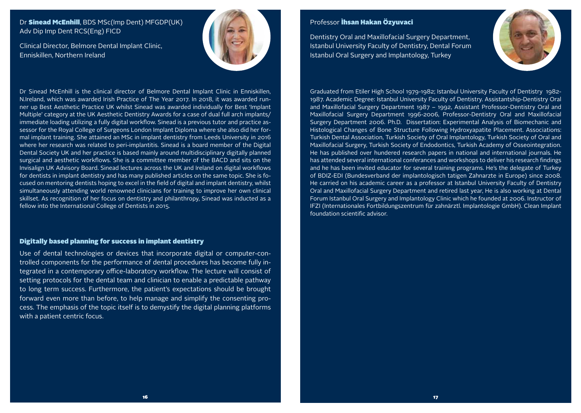## Dr Sinead McEnhill, BDS MSc(Imp Dent) MFGDP(UK) Adv Dip Imp Dent RCS(Eng) FICD

Clinical Director, Belmore Dental Implant Clinic, Enniskillen, Northern Ireland



Dr Sinead McEnhill is the clinical director of Belmore Dental Implant Clinic in Enniskillen, N.Ireland, which was awarded Irish Practice of The Year 2017. In 2018, it was awarded runner up Best Aesthetic Practice UK whilst Sinead was awarded individually for Best 'Implant Multiple' category at the UK Aesthetic Dentistry Awards for a case of dual full arch implants/ immediate loading utilizing a fully digital workflow. Sinead is a previous tutor and practice assessor for the Royal College of Surgeons London Implant Diploma where she also did her formal implant training. She attained an MSc in implant dentistry from Leeds University in 2016 where her research was related to peri-implantitis. Sinead is a board member of the Digital Dental Society UK and her practice is based mainly around multidisciplinary digitally planned surgical and aesthetic workflows. She is a committee member of the BACD and sits on the Invisalign UK Advisory Board. Sinead lectures across the UK and Ireland on digital workflows for dentists in implant dentistry and has many published articles on the same topic. She is focused on mentoring dentists hoping to excel in the field of digital and implant dentistry, whilst simultaneously attending world renowned clinicians for training to improve her own clinical skillset. As recognition of her focus on dentistry and philanthropy, Sinead was inducted as a fellow into the International College of Dentists in 2015.

#### Digitally based planning for success in implant dentistry

Use of dental technologies or devices that incorporate digital or computer-controlled components for the performance of dental procedures has become fully integrated in a contemporary office-laboratory workflow. The lecture will consist of setting protocols for the dental team and clinician to enable a predictable pathway to long term success. Furthermore, the patient's expectations should be brought forward even more than before, to help manage and simplify the consenting process. The emphasis of the topic itself is to demystify the digital planning platforms with a patient centric focus.

## Professor **İhsan Hakan Özyuvaci**

Dentistry Oral and Maxillofacial Surgery Department, Istanbul University Faculty of Dentistry, Dental Forum Istanbul Oral Surgery and Implantology, Turkey



Graduated from Etiler High School 1979-1982; Istanbul University Faculty of Dentistry 1982- 1987. Academic Degree: Istanbul University Faculty of Dentistry. Assistantship-Dentistry Oral and Maxillofacial Surgery Department 1987 – 1992, Assistant Professor-Dentistry Oral and Maxillofacial Surgery Department 1996-2006, Professor-Dentistry Oral and Maxillofacial Surgery Department 2006. Ph.D. Dissertation: Experimental Analysis of Biomechanic and Histological Changes of Bone Structure Following Hydroxyapatite Placement. Associations: Turkish Dental Association, Turkish Society of Oral Implantology, Turkish Society of Oral and Maxillofacial Surgery, Turkish Society of Endodontics, Turkish Academy of Osseointegration. He has published over hundered research papers in national and international journals. He has attended several international conferances and workshops to deliver his research findings and he has been invited educator for several training programs. He's the delegate of Turkey of BDIZ-EDI (Bundesverband der implantologisch tatigen Zahnarzte in Europe) since 2008. He carried on his academic career as a professor at Istanbul University Faculty of Dentistry Oral and Maxillofacial Surgery Department and retired last year, He is also working at Dental Forum Istanbul Oral Surgery and Implantology Clinic which he founded at 2006. Instructor of IFZI (Internationales Fortbildungszentrum für zahnärztl. Implantologie GmbH). Clean Implant foundation scientific advisor.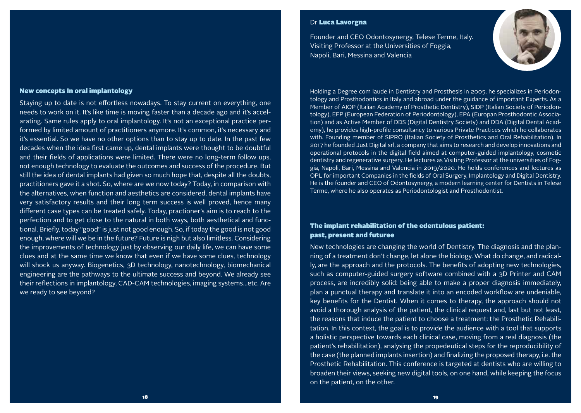#### New concepts In oral implantology

Staying up to date is not effortless nowadays. To stay current on everything, one needs to work on it. It's like time is moving faster than a decade ago and it's accelarating. Same rules apply to oral implantology. It's not an exceptional practice performed by limited amount of practitioners anymore. It's common, it's necessary and it's essential. So we have no other options than to stay up to date. In the past few decades when the idea first came up, dental implants were thought to be doubtful and their fields of applications were limited. There were no long-term follow ups, not enough technology to evaluate the outcomes and success of the procedure. But still the idea of dental implants had given so much hope that, despite all the doubts, practitioners gave it a shot. So, where are we now today? Today, in comparison with the alternatives, when function and aesthetics are considered, dental implants have very satisfactory results and their long term success is well proved, hence many different case types can be treated safely. Today, practioner's aim is to reach to the perfection and to get close to the natural in both ways, both aesthetical and functional. Briefly, today "good" is just not good enough. So, if today the good is not good enough, where will we be in the future? Future is nigh but also limitless. Considering the improvements of technology just by observing our daily life, we can have some clues and at the same time we know that even if we have some clues, technology will shock us anyway. Biogenetics, 3D technology, nanotechnology, biomechanical engineering are the pathways to the ultimate success and beyond. We already see their reflections in implantology, CAD-CAM technologies, imaging systems…etc. Are we ready to see beyond?

#### Dr Luca Lavorgna

Founder and CEO Odontosynergy, Telese Terme, Italy. Visiting Professor at the Universities of Foggia, Napoli, Bari, Messina and Valencia

Holding a Degree com laude in Dentistry and Prosthesis in 2005, he specializes in Periodontology and Prosthodontics in Italy and abroad under the guidance of important Experts. As a Member of AIOP (Italian Academy of Prosthetic Dentistry), SIDP (Italian Society of Periodontology), EFP (European Federation of Periodontology), EPA (Europan Prosthodontic Association) and as Active Member of DDS (Digital Dentistry Society) and DDA (Digital Dental Academy), he provides high-profile consultancy to various Private Practices which he collaborates with. Founding member of SIPRO (Italian Society of Prosthetics and Oral Rehabilitation). In 2017 he founded Just Digital srl, a company that aims to research and develop innovations and operational protocols in the digital field aimed at computer-guided implantology, cosmetic dentistry and regenerative surgery. He lectures as Visiting Professor at the universities of Foggia, Napoli, Bari, Messina and Valencia in 2019/2020. He holds conferences and lectures as OPL for important Companies in the fields of Oral Surgery, Implantology and Digital Dentistry. He is the founder and CEO of Odontosynergy, a modern learning center for Dentists in Telese Terme, where he also operates as Periodontologist and Prosthodontist.

## The implant rehabilitation of the edentulous patient: past, present and futuree

New technologies are changing the world of Dentistry. The diagnosis and the planning of a treatment don't change, let alone the biology. What do change, and radically, are the approach and the protocols. The benefits of adopting new technologies, such as computer-guided surgery software combined with a 3D Printer and CAM process, are incredibly solid: being able to make a proper diagnosis immediately, plan a punctual therapy and translate it into an encoded workflow are undeniable, key benefits for the Dentist. When it comes to therapy, the approach should not avoid a thorough analysis of the patient, the clinical request and, last but not least, the reasons that induce the patient to choose a treatment: the Prosthetic Rehabilitation. In this context, the goal is to provide the audience with a tool that supports a holistic perspective towards each clinical case, moving from a real diagnosis (the patient's rehabilitation), analysing the propedeutical steps for the reproducibility of the case (the planned implants insertion) and finalizing the proposed therapy, i.e. the Prosthetic Rehabilitation. This conference is targeted at dentists who are willing to broaden their views, seeking new digital tools, on one hand, while keeping the focus on the patient, on the other.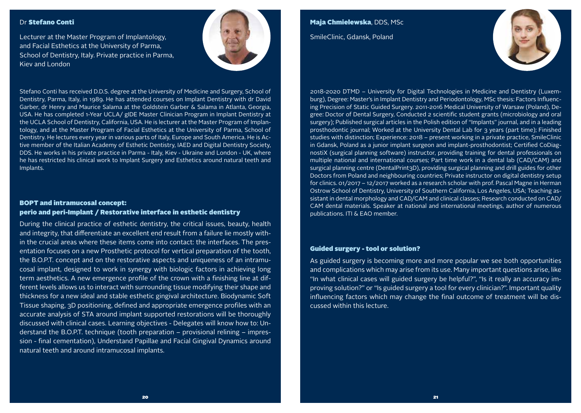#### Dr Stefano Conti

Lecturer at the Master Program of Implantology, and Facial Esthetics at the University of Parma, School of Dentistry, Italy. Private practice in Parma, Kiev and London



Stefano Conti has received D.D.S. degree at the University of Medicine and Surgery, School of Dentistry, Parma, Italy, in 1989. He has attended courses on Implant Dentistry with dr David Garber, dr Henry and Maurice Salama at the Goldstein Garber & Salama in Atlanta, Georgia, USA. He has completed 1-Year UCLA/ gIDE Master Clinician Program in Implant Dentistry at the UCLA School of Dentistry, California, USA. He is lecturer at the Master Program of Implantology, and at the Master Program of Facial Esthetics at the University of Parma, School of Dentistry. He lectures every year in various parts of Italy, Europe and South America. He is Active member of the Italian Academy of Esthetic Dentistry, IAED and Digital Dentistry Society, DDS. He works in his private practice in Parma - Italy, Kiev - Ukraine and London - UK, where he has restricted his clinical work to Implant Surgery and Esthetics around natural teeth and Implants.

## BOPT and intramucosal concept: perio and peri-Implant / Restorative interface in esthetic dentistry

During the clinical practice of esthetic dentistry, the critical issues, beauty, health and integrity, that differentiate an excellent end result from a failure lie mostly within the crucial areas where these items come into contact: the interfaces. The presentation focuses on a new Prosthetic protocol for vertical preparation of the tooth, the B.O.P.T. concept and on the restorative aspects and uniqueness of an intramucosal implant, designed to work in synergy with biologic factors in achieving long term aesthetics. A new emergence profile of the crown with a finishing line at different levels allows us to interact with surrounding tissue modifying their shape and thickness for a new ideal and stable esthetic gingival architecture. Biodynamic Soft Tissue shaping, 3D positioning, defined and appropriate emergence profiles with an accurate analysis of STA around implant supported restorations will be thoroughly discussed with clinical cases. Learning objectives - Delegates will know how to: Understand the B.O.P.T. technique (tooth preparation – provisional relining – impression - final cementation), Understand Papillae and Facial Gingival Dynamics around natural teeth and around intramucosal implants.

Maja Chmielewska, DDS, MSc SmileClinic, Gdansk, Poland



2018-2020 DTMD – University for Digital Technologies in Medicine and Dentistry (Luxemburg), Degree: Master's in Implant Dentistry and Periodontology, MSc thesis: Factors Influencing Precision of Static Guided Surgery. 2011-2016 Medical University of Warsaw (Poland), Degree: Doctor of Dental Surgery, Conducted 2 scientific student grants (microbiology and oral surgery); Published surgical articles in the Polish edition of "Implants" journal, and in a leading prosthodontic journal; Worked at the University Dental Lab for 3 years (part time); Finished studies with distinction; Experience: 2018 – present working in a private practice, SmileClinic in Gdansk, Poland as a junior implant surgeon and implant-prosthodontist; Certified CoDiagnostiX (surgical planning software) instructor, providing training for dental professionals on multiple national and international courses; Part time work in a dental lab (CAD/CAM) and surgical planning centre (DentalPrint3D), providing surgical planning and drill guides for other Doctors from Poland and neighbouring countries; Private instructor on digital dentistry setup for clinics. 01/2017 – 12/2017 worked as a research scholar with prof. Pascal Magne in Herman Ostrow School of Dentistry, University of Southern California, Los Angeles, USA; Teaching assistant in dental morphology and CAD/CAM and clinical classes; Research conducted on CAD/ CAM dental materials. Speaker at national and international meetings, author of numerous publications. ITI & EAO member.

#### Guided surgery - tool or solution?

As guided surgery is becoming more and more popular we see both opportunities and complications which may arise from its use. Many important questions arise, like "In what clinical cases will guided surgery be helpful?", "Is it really an accuracy improving solution?" or "Is guided surgery a tool for every clinician?". Important quality influencing factors which may change the final outcome of treatment will be discussed within this lecture.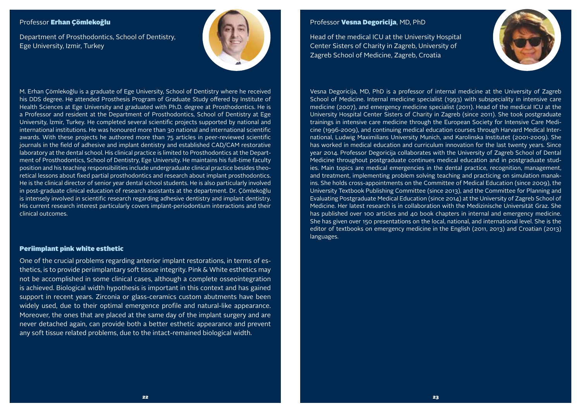## Professor Erhan Çömlekoğlu

Department of Prosthodontics, School of Dentistry, Ege University, Izmir, Turkey



M. Erhan Çömlekoğlu is a graduate of Ege University, School of Dentistry where he received his DDS degree. He attended Prosthesis Program of Graduate Study offered by Institute of Health Sciences at Ege University and graduated with Ph.D. degree at Prosthodontics. He is a Professor and resident at the Department of Prosthodontics, School of Dentistry at Ege University, İzmir, Turkey. He completed several scientific projects supported by national and international institutions. He was honoured more than 30 national and international scientific awards. With these projects he authored more than 75 articles in peer-reviewed scientific journals in the field of adhesive and implant dentistry and established CAD/CAM restorative laboratory at the dental school. His clinical practice is limited to Prosthodontics at the Department of Prosthodontics, School of Dentistry, Ege University. He maintains his full-time faculty position and his teaching responsibilities include undergraduate clinical practice besides theoretical lessons about fixed partial prosthodontics and research about implant prosthodontics. He is the clinical director of senior year dental school students. He is also particularly involved in post-graduate clinical education of research assistants at the department. Dr. Çömlekoğlu is intensely involved in scientific research regarding adhesive dentistry and implant dentistry. His current research interest particularly covers implant-periodontium interactions and their clinical outcomes.

#### Periimplant pink white esthetic

One of the crucial problems regarding anterior implant restorations, in terms of esthetics, is to provide periimplantary soft tissue integrity. Pink & White esthetics may not be accomplished in some clinical cases, although a complete osseointegration is achieved. Biological width hypothesis is important in this context and has gained support in recent years. Zirconia or glass-ceramics custom abutments have been widely used, due to their optimal emergence profile and natural-like appearance. Moreover, the ones that are placed at the same day of the implant surgery and are never detached again, can provide both a better esthetic appearance and prevent any soft tissue related problems, due to the intact-remained biological width.

## Professor Vesna Degoricija, MD, PhD

Head of the medical ICU at the University Hospital Center Sisters of Charity in Zagreb, University of Zagreb School of Medicine, Zagreb, Croatia



Vesna Degoricija, MD, PhD is a professor of internal medicine at the University of Zagreb School of Medicine. Internal medicine specialist (1993) with subspeciality in intensive care medicine (2007), and emergency medicine specialist (2011). Head of the medical ICU at the University Hospital Center Sisters of Charity in Zagreb (since 2011). She took postgraduate trainings in intensive care medicine through the European Society for Intensive Care Medicine (1996-2009), and continuing medical education courses through Harvard Medical International, Ludwig Maximilians University Munich, and Karolinska Institutet (2001-2009). She has worked in medical education and curriculum innovation for the last twenty years. Since year 2014. Professor Degoricija collaborates with the University of Zagreb School of Dental Medicine throughout postgraduate continues medical education and in postgraduate studies. Main topics are medical emergencies in the dental practice, recognition, management, and treatment, implementing problem solving teaching and practicing on simulation manakins. She holds cross-appointments on the Committee of Medical Education (since 2009), the University Textbook Publishing Committee (since 2013), and the Committee for Planning and Evaluating Postgraduate Medical Education (since 2014) at the University of Zagreb School of Medicine. Her latest research is in collaboration with the Medizinische Universität Graz. She has published over 100 articles and 40 book chapters in internal and emergency medicine. She has given over 150 presentations on the local, national, and international level. She is the editor of textbooks on emergency medicine in the English (2011, 2013) and Croatian (2013) languages.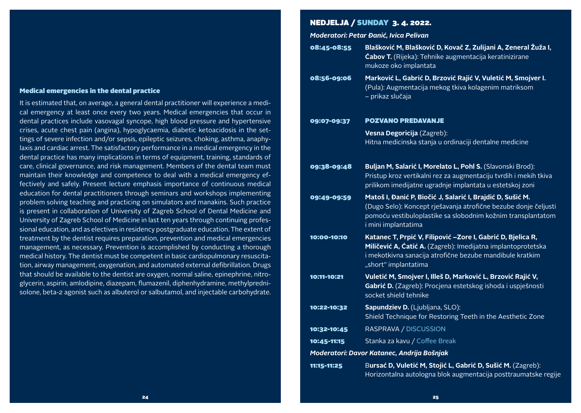#### Medical emergencies in the dental practice

It is estimated that, on average, a general dental practitioner will experience a medical emergency at least once every two years. Medical emergencies that occur in dental practices include vasovagal syncope, high blood pressure and hypertensive crises, acute chest pain (angina), hypoglycaemia, diabetic ketoacidosis in the settings of severe infection and/or sepsis, epileptic seizures, choking, asthma, anaphylaxis and cardiac arrest. The satisfactory performance in a medical emergency in the dental practice has many implications in terms of equipment, training, standards of care, clinical governance, and risk management. Members of the dental team must maintain their knowledge and competence to deal with a medical emergency effectively and safely. Present lecture emphasis importance of continuous medical education for dental practitioners through seminars and workshops implementing problem solving teaching and practicing on simulators and manakins. Such practice is present in collaboration of University of Zagreb School of Dental Medicine and University of Zagreb School of Medicine in last ten years through continuing professional education, and as electives in residency postgraduate education. The extent of treatment by the dentist requires preparation, prevention and medical emergencies management, as necessary. Prevention is accomplished by conducting a thorough medical history. The dentist must be competent in basic cardiopulmonary resuscitation, airway management, oxygenation, and automated external defibrillation. Drugs that should be available to the dentist are oxygen, normal saline, epinephrine, nitroglycerin, aspirin, amlodipine, diazepam, flumazenil, diphenhydramine, methylprednisolone, beta-2 agonist such as albuterol or salbutamol, and injectable carbohydrate.

## NEDJELJA / SUNDAY 3. 4. 2022.

*Moderatori: Petar Đanić, Ivica Pelivan*

| 08:45-08:55 | Blašković M, Blašković D, Kovač Z, Zulijani A, Zeneral Žuža I,<br><b>Ćabov T.</b> (Rijeka): Tehnike augmentacija keratinizirane<br>mukoze oko implantata                                                            |
|-------------|---------------------------------------------------------------------------------------------------------------------------------------------------------------------------------------------------------------------|
| 08:56-09:06 | Marković L, Gabrić D, Brzović Rajić V, Vuletić M, Smojver I.<br>(Pula): Augmentacija mekog tkiva kolagenim matriksom<br>- prikaz slučaja                                                                            |
| 09:07-09:37 | <b>POZVANO PREDAVANJE</b>                                                                                                                                                                                           |
|             | Vesna Degoricija (Zagreb):<br>Hitna medicinska stanja u ordinaciji dentalne medicine                                                                                                                                |
| 09:38-09:48 | Buljan M, Salarić I, Morelato L, Pohl S. (Slavonski Brod):<br>Pristup kroz vertikalni rez za augmentaciju tvrdih i mekih tkiva<br>prilikom imedijatne ugradnje implantata u estetskoj zoni                          |
| 09:49-09:59 | Matoš I, Đanić P, Biočić J, Salarić I, Brajdić D, Sušić M.<br>(Dugo Selo): Koncept rješavanja atrofične bezube donje čeljusti<br>pomoću vestibuloplastike sa slobodnim kožnim transplantatom<br>i mini implantatima |
| 10:00-10:10 | Katanec T, Prpić V, Filipović -Zore I, Gabrić D, Bjelica R,<br>Miličević A, Ćatić A. (Zagreb): Imedijatna implantoprotetska<br>i mekotkivna sanacija atrofične bezube mandibule kratkim<br>"short" implantatima     |
| 10:11-10:21 | Vuletić M, Smojver I, Illeš D, Marković L, Brzović Rajić V,<br>Gabrić D. (Zagreb): Procjena estetskog ishoda i uspješnosti<br>socket shield tehnike                                                                 |
| 10:22-10:32 | Sapundziev D. (Ljubljana, SLO):<br>Shield Technique for Restoring Teeth in the Aesthetic Zone                                                                                                                       |
| 10:32-10:45 | RASPRAVA / DISCUSSION                                                                                                                                                                                               |
| 10:45-11:15 | Stanka za kavu / Coffee Break                                                                                                                                                                                       |
|             | Moderatori: Davor Katanec, Andrija Bošnjak                                                                                                                                                                          |
| 11:15-11:25 | Bursać D, Vuletić M, Stojić L, Gabrić D, Sušić M. (Zagreb):<br>Horizontalna autologna blok augmentacija posttraumatske regije                                                                                       |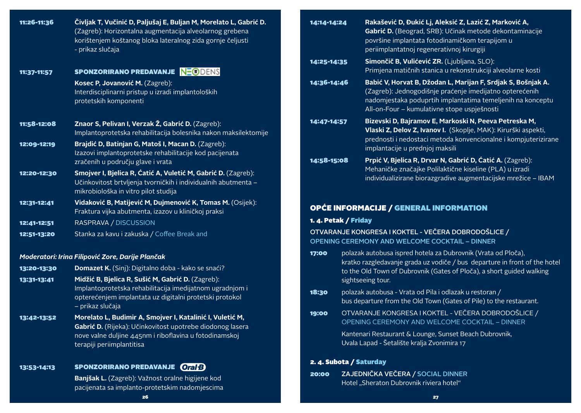| 11:26-11:36                | Čivljak T, Vučinić D, Paljušaj E, Buljan M, Morelato L, Gabrić D.<br>(Zagreb): Horizontalna augmentacija alveolarnog grebena<br>korištenjem koštanog bloka lateralnog zida gornje čeljusti<br>- prikaz slučaja | 14:14-14:24                                                                                                  |                                                                                                                                                                          | Rakašević D, Đukić Lj, Aleksić Z, Lazić Z, Marković A,<br>Gabrić D. (Beograd, SRB): Učinak metode dekontaminacije<br>površine implantata fotodinamičkom terapijom u<br>periimplantatnoj regenerativnoj kirurgiji                     |
|----------------------------|----------------------------------------------------------------------------------------------------------------------------------------------------------------------------------------------------------------|--------------------------------------------------------------------------------------------------------------|--------------------------------------------------------------------------------------------------------------------------------------------------------------------------|--------------------------------------------------------------------------------------------------------------------------------------------------------------------------------------------------------------------------------------|
|                            | <b>SPONZORIRANO PREDAVANJE NEGIDENS</b>                                                                                                                                                                        | 14:25-14:35                                                                                                  |                                                                                                                                                                          | Simončič B, Vulićević ZR. (Ljubljana, SLO):<br>Primjena matičnih stanica u rekonstrukciji alveolarne kosti                                                                                                                           |
| 11:37-11:57                | Kosec P, Jovanović M. (Zagreb):<br>Interdisciplinarni pristup u izradi implantoloških<br>protetskih komponenti                                                                                                 | 14:36-14:46                                                                                                  |                                                                                                                                                                          | Babić V, Horvat B, Džodan L, Marijan F, Srdjak S, Bošnjak A.<br>(Zagreb): Jednogodišnje praćenje imedijatno opterećenih<br>nadomjestaka poduprtih implantatima temeljenih na konceptu<br>All-on-Four - kumulativne stope uspješnosti |
| 11:58-12:08                | Znaor S, Pelivan I, Verzak Ž, Gabrić D. (Zagreb):<br>Implantoprotetska rehabilitacija bolesnika nakon maksilektomije                                                                                           | 14:47-14:57                                                                                                  |                                                                                                                                                                          | Bizevski D, Bajramov E, Markoski N, Peeva Petreska M,<br>Vlaski Z, Delov Z, Ivanov I. (Skoplje, MAK): Kirurški aspekti,<br>prednosti i nedostaci metoda konvencionalne i kompjuterizirane                                            |
| 12:09-12:19                | Brajdić D, Batinjan G, Matoš I, Macan D. (Zagreb):<br>Izazovi implantoprotetske rehabilitacije kod pacijenata                                                                                                  |                                                                                                              |                                                                                                                                                                          | implantacije u prednjoj maksili                                                                                                                                                                                                      |
|                            | zračenih u području glave i vrata                                                                                                                                                                              | 14:58-15:08                                                                                                  |                                                                                                                                                                          | Prpić V, Bjelica R, Drvar N, Gabrić D, Ćatić A. (Zagreb):<br>Mehaničke značajke Polilaktične kiseline (PLA) u izradi                                                                                                                 |
| 12:20-12:30                | Smojver I, Bjelica R, Ćatić A, Vuletić M, Gabrić D. (Zagreb):<br>Učinkovitost brtvljenja tvorničkih i individualnih abutmenta -<br>mikrobiološka in vitro pilot studija                                        |                                                                                                              |                                                                                                                                                                          | individualizirane biorazgradive augmentacijske mrežice - IBAM                                                                                                                                                                        |
| 12:31-12:41                | Vidaković B, Matijević M, Dujmenović K, Tomas M. (Osijek):<br>Fraktura vijka abutmenta, izazov u kliničkoj praksi                                                                                              |                                                                                                              | <b>OPĆE INFORMACIJE / GENERAL INFORMATION</b>                                                                                                                            |                                                                                                                                                                                                                                      |
| 12:41-12:51                | RASPRAVA / DISCUSSION                                                                                                                                                                                          | 1. 4. Petak / Friday                                                                                         |                                                                                                                                                                          |                                                                                                                                                                                                                                      |
| 12:51-13:20                | Stanka za kavu i zakuska / Coffee Break and                                                                                                                                                                    | OTVARANJE KONGRESA I KOKTEL - VEČERA DOBRODOŠLICE /<br><b>OPENING CEREMONY AND WELCOME COCKTAIL - DINNER</b> |                                                                                                                                                                          |                                                                                                                                                                                                                                      |
|                            | Moderatori: Irina Filipović Zore, Darije Plančak                                                                                                                                                               | 17:00                                                                                                        |                                                                                                                                                                          | polazak autobusa ispred hotela za Dubrovnik (Vrata od Ploča),                                                                                                                                                                        |
| 13:20-13:30<br>13:31-13:41 | Domazet K. (Sinj): Digitalno doba - kako se snaći?<br>Midžić B, Bjelica R, Sušić M, Gabrić D. (Zagreb):                                                                                                        |                                                                                                              | kratko razgledavanje grada uz vodiče / bus departure in front of the hotel<br>to the Old Town of Dubrovnik (Gates of Ploča), a short guided walking<br>sightseeing tour. |                                                                                                                                                                                                                                      |
|                            | Implantoprotetska rehabilitacija imedijatnom ugradnjom i<br>opterećenjem implantata uz digitalni protetski protokol<br>- prikaz slučaja                                                                        | 18:30                                                                                                        |                                                                                                                                                                          | polazak autobusa - Vrata od Pila i odlazak u restoran /<br>bus departure from the Old Town (Gates of Pile) to the restaurant.                                                                                                        |
| 13:42-13:52                | Morelato L, Budimir A, Smojver I, Katalinić I, Vuletić M,<br>Gabrić D. (Rijeka): Učinkovitost upotrebe diodonog lasera                                                                                         | 19:00                                                                                                        |                                                                                                                                                                          | OTVARANJE KONGRESA I KOKTEL - VEČERA DOBRODOŠLICE /<br>OPENING CEREMONY AND WELCOME COCKTAIL - DINNER                                                                                                                                |
|                            | nove valne duljine 445nm i riboflavina u fotodinamskoj<br>terapiji periimplantitisa                                                                                                                            |                                                                                                              |                                                                                                                                                                          | Kantenari Restaurant & Lounge, Sunset Beach Dubrovnik,<br>Uvala Lapad - Šetalište kralja Zvonimira 17                                                                                                                                |
|                            | <b>SPONZORIRANO PREDAVANJE Oral B</b>                                                                                                                                                                          |                                                                                                              |                                                                                                                                                                          | 2. 4. Subota / Saturday                                                                                                                                                                                                              |
| 13:53-14:13                | Banjšak L. (Zagreb): Važnost oralne higijene kod                                                                                                                                                               | 20:00                                                                                                        |                                                                                                                                                                          | ZAJEDNIČKA VEČERA / SOCIAL DINNER                                                                                                                                                                                                    |
|                            | pacijenata sa implanto-protetskim nadomjescima                                                                                                                                                                 |                                                                                                              |                                                                                                                                                                          | Hotel "Sheraton Dubrovnik riviera hotel"                                                                                                                                                                                             |

26